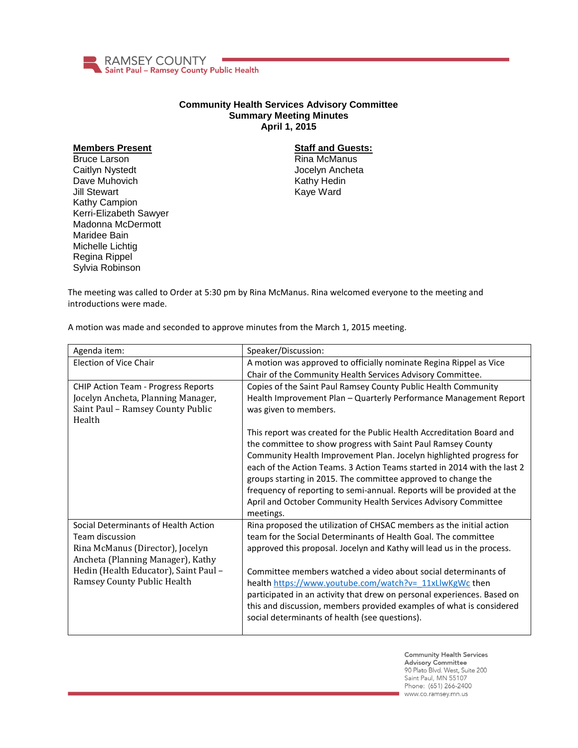

## **Community Health Services Advisory Committee Summary Meeting Minutes April 1, 2015**

## **Members Present**

Bruce Larson Caitlyn Nystedt Dave Muhovich Jill Stewart Kathy Campion Kerri-Elizabeth Sawyer Madonna McDermott Maridee Bain Michelle Lichtig Regina Rippel Sylvia Robinson

## **Staff and Guests:**

Rina McManus Jocelyn Ancheta Kathy Hedin Kaye Ward

The meeting was called to Order at 5:30 pm by Rina McManus. Rina welcomed everyone to the meeting and introductions were made.

A motion was made and seconded to approve minutes from the March 1, 2015 meeting.

| Agenda item:                               | Speaker/Discussion:                                                      |
|--------------------------------------------|--------------------------------------------------------------------------|
| <b>Election of Vice Chair</b>              | A motion was approved to officially nominate Regina Rippel as Vice       |
|                                            | Chair of the Community Health Services Advisory Committee.               |
| <b>CHIP Action Team - Progress Reports</b> | Copies of the Saint Paul Ramsey County Public Health Community           |
| Jocelyn Ancheta, Planning Manager,         | Health Improvement Plan - Quarterly Performance Management Report        |
| Saint Paul - Ramsey County Public          | was given to members.                                                    |
| Health                                     |                                                                          |
|                                            | This report was created for the Public Health Accreditation Board and    |
|                                            | the committee to show progress with Saint Paul Ramsey County             |
|                                            | Community Health Improvement Plan. Jocelyn highlighted progress for      |
|                                            | each of the Action Teams. 3 Action Teams started in 2014 with the last 2 |
|                                            | groups starting in 2015. The committee approved to change the            |
|                                            | frequency of reporting to semi-annual. Reports will be provided at the   |
|                                            | April and October Community Health Services Advisory Committee           |
|                                            | meetings.                                                                |
| Social Determinants of Health Action       | Rina proposed the utilization of CHSAC members as the initial action     |
| Team discussion                            | team for the Social Determinants of Health Goal. The committee           |
| Rina McManus (Director), Jocelyn           | approved this proposal. Jocelyn and Kathy will lead us in the process.   |
| Ancheta (Planning Manager), Kathy          |                                                                          |
| Hedin (Health Educator), Saint Paul -      | Committee members watched a video about social determinants of           |
| Ramsey County Public Health                | health https://www.youtube.com/watch?v= 11xLlwKgWc then                  |
|                                            | participated in an activity that drew on personal experiences. Based on  |
|                                            | this and discussion, members provided examples of what is considered     |
|                                            | social determinants of health (see questions).                           |
|                                            |                                                                          |

**Community Health Services** Advisory Committee 90 Plato Blvd. West, Suite 200 Saint Paul, MN 55107 Phone: (651) 266-2400 www.co.ramsey.mn.us